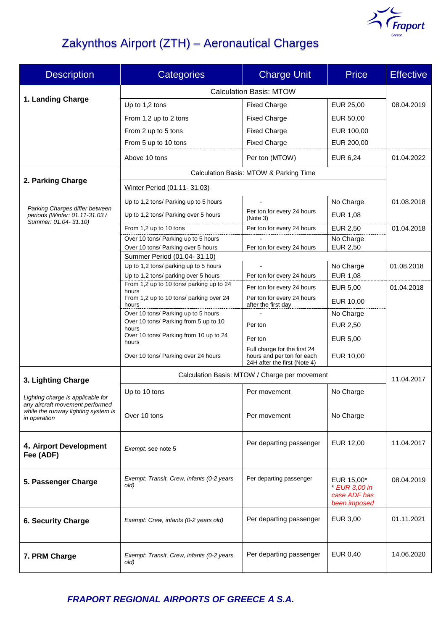

# Zakynthos Airport (ZTH) – Aeronautical Charges

| <b>Description</b>                                                                                                          | <b>Categories</b>                                                    | <b>Charge Unit</b>                                                                         | <b>Price</b>                                                | <b>Effective</b> |
|-----------------------------------------------------------------------------------------------------------------------------|----------------------------------------------------------------------|--------------------------------------------------------------------------------------------|-------------------------------------------------------------|------------------|
|                                                                                                                             | <b>Calculation Basis: MTOW</b>                                       |                                                                                            |                                                             |                  |
| 1. Landing Charge                                                                                                           | Up to 1,2 tons                                                       | <b>Fixed Charge</b>                                                                        | EUR 25,00                                                   | 08.04.2019       |
|                                                                                                                             | From 1,2 up to 2 tons                                                | <b>Fixed Charge</b>                                                                        | EUR 50,00                                                   |                  |
|                                                                                                                             | From 2 up to 5 tons                                                  | <b>Fixed Charge</b>                                                                        | EUR 100,00                                                  |                  |
|                                                                                                                             | From 5 up to 10 tons                                                 | <b>Fixed Charge</b>                                                                        | EUR 200,00                                                  |                  |
|                                                                                                                             | Above 10 tons                                                        | Per ton (MTOW)                                                                             | EUR 6,24                                                    | 01.04.2022       |
|                                                                                                                             | Calculation Basis: MTOW & Parking Time                               |                                                                                            |                                                             |                  |
| 2. Parking Charge                                                                                                           | Winter Period (01.11-31.03)                                          |                                                                                            |                                                             |                  |
|                                                                                                                             | Up to 1,2 tons/ Parking up to 5 hours                                |                                                                                            | No Charge                                                   | 01.08.2018       |
| Parking Charges differ between<br>periods (Winter: 01.11-31.03 /                                                            | Up to 1,2 tons/ Parking over 5 hours                                 | Per ton for every 24 hours<br>(Note 3)                                                     | <b>EUR 1,08</b>                                             |                  |
| Summer: 01.04-31.10)                                                                                                        | From 1,2 up to 10 tons                                               | Per ton for every 24 hours                                                                 | <b>EUR 2,50</b>                                             | 01.04.2018       |
|                                                                                                                             | Over 10 tons/ Parking up to 5 hours                                  |                                                                                            | No Charge                                                   |                  |
|                                                                                                                             | Over 10 tons/ Parking over 5 hours                                   | Per ton for every 24 hours                                                                 | <b>EUR 2,50</b>                                             |                  |
|                                                                                                                             | Summer Period (01.04-31.10)<br>Up to 1,2 tons/ parking up to 5 hours |                                                                                            | No Charge                                                   | 01.08.2018       |
|                                                                                                                             | Up to 1,2 tons/ parking over 5 hours                                 | Per ton for every 24 hours                                                                 | <b>EUR 1,08</b>                                             |                  |
|                                                                                                                             | From 1,2 up to 10 tons/ parking up to 24<br>hours                    | Per ton for every 24 hours                                                                 | EUR 5,00                                                    | 01.04.2018       |
|                                                                                                                             | From 1,2 up to 10 tons/ parking over 24<br>hours                     | Per ton for every 24 hours<br>after the first day                                          | EUR 10,00                                                   |                  |
|                                                                                                                             | Over 10 tons/ Parking up to 5 hours                                  |                                                                                            | No Charge                                                   |                  |
|                                                                                                                             | Over 10 tons/ Parking from 5 up to 10<br>hours                       | Per ton                                                                                    | <b>EUR 2,50</b>                                             |                  |
|                                                                                                                             | Over 10 tons/ Parking from 10 up to 24<br>hours                      | Per ton                                                                                    | EUR 5,00                                                    |                  |
|                                                                                                                             | Over 10 tons/ Parking over 24 hours                                  | Full charge for the first 24<br>hours and per ton for each<br>24H after the first (Note 4) | EUR 10,00                                                   |                  |
|                                                                                                                             |                                                                      |                                                                                            |                                                             |                  |
| 3. Lighting Charge                                                                                                          |                                                                      | Calculation Basis: MTOW / Charge per movement                                              |                                                             | 11.04.2017       |
| Lighting charge is applicable for<br>any aircraft movement performed<br>while the runway lighting system is<br>in operation | Up to 10 tons                                                        | Per movement                                                                               | No Charge                                                   |                  |
|                                                                                                                             | Over 10 tons                                                         | Per movement                                                                               | No Charge                                                   |                  |
| 4. Airport Development<br>Fee (ADF)                                                                                         | Exempt: see note 5                                                   | Per departing passenger                                                                    | EUR 12,00                                                   | 11.04.2017       |
| 5. Passenger Charge                                                                                                         | Exempt: Transit, Crew, infants (0-2 years<br>old)                    | Per departing passenger                                                                    | EUR 15,00*<br>* EUR 3.00 in<br>case ADF has<br>been imposed | 08.04.2019       |
| <b>6. Security Charge</b>                                                                                                   | Exempt: Crew, infants (0-2 years old)                                | Per departing passenger                                                                    | EUR 3,00                                                    | 01.11.2021       |
| 7. PRM Charge                                                                                                               | Exempt: Transit, Crew, infants (0-2 years<br>old)                    | Per departing passenger                                                                    | EUR 0,40                                                    | 14.06.2020       |

*FRAPORT REGIONAL AIRPORTS OF GREECE Α S.A.*